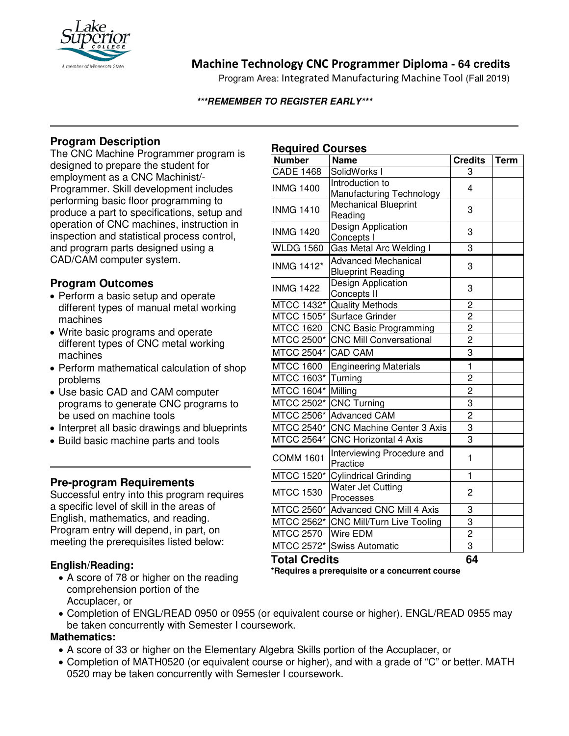

# **Machine Technology CNC Programmer Diploma - 64 credits**

Program Area: Integrated Manufacturing Machine Tool (Fall 2019)

#### **\*\*\*REMEMBER TO REGISTER EARLY\*\*\***

## **Program Description**

The CNC Machine Programmer program is designed to prepare the student for employment as a CNC Machinist/- Programmer. Skill development includes performing basic floor programming to produce a part to specifications, setup and operation of CNC machines, instruction in inspection and statistical process control, and program parts designed using a CAD/CAM computer system.

## **Program Outcomes**

- Perform a basic setup and operate different types of manual metal working machines
- Write basic programs and operate different types of CNC metal working machines
- Perform mathematical calculation of shop problems
- Use basic CAD and CAM computer programs to generate CNC programs to be used on machine tools
- Interpret all basic drawings and blueprints
- Build basic machine parts and tools

## **Pre-program Requirements**

Successful entry into this program requires a specific level of skill in the areas of English, mathematics, and reading. Program entry will depend, in part, on meeting the prerequisites listed below:

#### **English/Reading:**

• A score of 78 or higher on the reading comprehension portion of the Accuplacer, or

## **Required Courses**

| .<br><b>Number</b>                    | <b>Name</b>                                    | <b>Credits</b> | <b>Term</b> |
|---------------------------------------|------------------------------------------------|----------------|-------------|
| <b>CADE 1468</b>                      | SolidWorks I                                   | 3              |             |
| <b>INMG 1400</b>                      | Introduction to                                | 4              |             |
|                                       | Manufacturing Technology                       |                |             |
| <b>INMG 1410</b>                      | Mechanical Blueprint                           | 3              |             |
|                                       | Reading                                        |                |             |
| <b>INMG 1420</b>                      | Design Application                             | 3              |             |
| <b>WLDG 1560</b>                      | Concepts I                                     | 3              |             |
|                                       | Gas Metal Arc Welding I                        |                |             |
| <b>INMG 1412*</b><br><b>INMG 1422</b> | <b>Advanced Mechanical</b>                     | 3              |             |
|                                       | <b>Blueprint Reading</b><br>Design Application |                |             |
|                                       | Concepts II                                    | 3              |             |
| <b>MTCC 1432*</b>                     | <b>Quality Methods</b>                         | $\overline{c}$ |             |
| <b>MTCC 1505*</b>                     | Surface Grinder                                | $\overline{2}$ |             |
| <b>MTCC 1620</b>                      | <b>CNC Basic Programming</b>                   | $\overline{2}$ |             |
| MTCC 2500*                            | <b>CNC Mill Conversational</b>                 | $\overline{c}$ |             |
| MTCC 2504*                            | <b>CAD CAM</b>                                 | 3              |             |
| <b>MTCC 1600</b>                      | <b>Engineering Materials</b>                   | 1              |             |
| <b>MTCC 1603*</b>                     | Turning                                        | $\overline{2}$ |             |
| MTCC 1604*                            | Milling                                        | $\overline{2}$ |             |
| MTCC 2502*                            | <b>CNC Turning</b>                             | 3              |             |
| MTCC 2506*                            | <b>Advanced CAM</b>                            | $\overline{c}$ |             |
| MTCC 2540*                            | <b>CNC Machine Center 3 Axis</b>               | 3              |             |
| MTCC 2564*                            | <b>CNC Horizontal 4 Axis</b>                   | 3              |             |
| <b>COMM 1601</b>                      | Interviewing Procedure and                     | $\mathbf{1}$   |             |
|                                       | Practice                                       |                |             |
| MTCC 1520*                            | <b>Cylindrical Grinding</b>                    | 1              |             |
| <b>MTCC 1530</b>                      | <b>Water Jet Cutting</b>                       | 2              |             |
|                                       | Processes                                      |                |             |
| MTCC 2560*                            | <b>Advanced CNC Mill 4 Axis</b>                | 3              |             |
| MTCC 2562*                            | <b>CNC Mill/Turn Live Tooling</b>              | 3              |             |
| <b>MTCC 2570</b>                      | Wire EDM                                       | $\overline{2}$ |             |
| MTCC 2572*                            | <b>Swiss Automatic</b>                         | $\overline{3}$ |             |
| <b>Total Credits</b>                  |                                                | 64             |             |

**\*Requires a prerequisite or a concurrent course**

• Completion of ENGL/READ 0950 or 0955 (or equivalent course or higher). ENGL/READ 0955 may be taken concurrently with Semester I coursework.

#### **Mathematics:**

- A score of 33 or higher on the Elementary Algebra Skills portion of the Accuplacer, or
- Completion of MATH0520 (or equivalent course or higher), and with a grade of "C" or better. MATH 0520 may be taken concurrently with Semester I coursework.